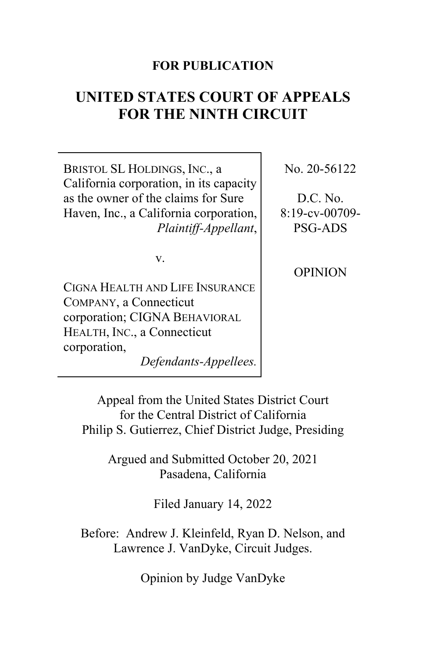## **FOR PUBLICATION**

# **UNITED STATES COURT OF APPEALS FOR THE NINTH CIRCUIT**

BRISTOL SL HOLDINGS, INC., a California corporation, in its capacity as the owner of the claims for Sure Haven, Inc., a California corporation, *Plaintiff-Appellant*,

v.

CIGNA HEALTH AND LIFE INSURANCE COMPANY, a Connecticut corporation; CIGNA BEHAVIORAL HEALTH, INC., a Connecticut corporation,

*Defendants-Appellees.*

No. 20-56122

D.C. No. 8:19-cv-00709- PSG-ADS

OPINION

Appeal from the United States District Court for the Central District of California Philip S. Gutierrez, Chief District Judge, Presiding

> Argued and Submitted October 20, 2021 Pasadena, California

> > Filed January 14, 2022

Before: Andrew J. Kleinfeld, Ryan D. Nelson, and Lawrence J. VanDyke, Circuit Judges.

Opinion by Judge VanDyke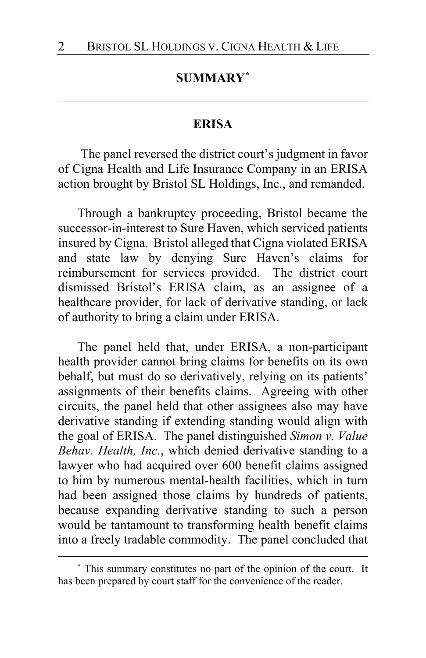# **SUMMARY[\\*](#page-1-0)**

#### **ERISA**

The panel reversed the district court's judgment in favor of Cigna Health and Life Insurance Company in an ERISA action brought by Bristol SL Holdings, Inc., and remanded.

Through a bankruptcy proceeding, Bristol became the successor-in-interest to Sure Haven, which serviced patients insured by Cigna. Bristol alleged that Cigna violated ERISA and state law by denying Sure Haven's claims for reimbursement for services provided. The district court dismissed Bristol's ERISA claim, as an assignee of a healthcare provider, for lack of derivative standing, or lack of authority to bring a claim under ERISA.

The panel held that, under ERISA, a non-participant health provider cannot bring claims for benefits on its own behalf, but must do so derivatively, relying on its patients' assignments of their benefits claims. Agreeing with other circuits, the panel held that other assignees also may have derivative standing if extending standing would align with the goal of ERISA. The panel distinguished *Simon v. Value Behav. Health, Inc.*, which denied derivative standing to a lawyer who had acquired over 600 benefit claims assigned to him by numerous mental-health facilities, which in turn had been assigned those claims by hundreds of patients, because expanding derivative standing to such a person would be tantamount to transforming health benefit claims into a freely tradable commodity. The panel concluded that

<span id="page-1-0"></span>**<sup>\*</sup>** This summary constitutes no part of the opinion of the court. It has been prepared by court staff for the convenience of the reader.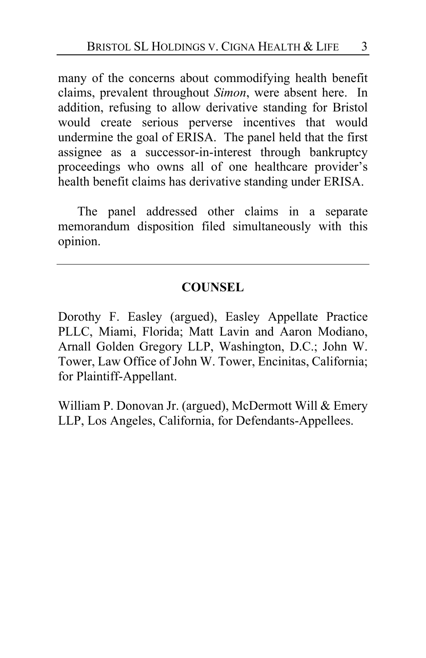many of the concerns about commodifying health benefit claims, prevalent throughout *Simon*, were absent here. In addition, refusing to allow derivative standing for Bristol would create serious perverse incentives that would undermine the goal of ERISA. The panel held that the first assignee as a successor-in-interest through bankruptcy proceedings who owns all of one healthcare provider's health benefit claims has derivative standing under ERISA.

The panel addressed other claims in a separate memorandum disposition filed simultaneously with this opinion.

### **COUNSEL**

Dorothy F. Easley (argued), Easley Appellate Practice PLLC, Miami, Florida; Matt Lavin and Aaron Modiano, Arnall Golden Gregory LLP, Washington, D.C.; John W. Tower, Law Office of John W. Tower, Encinitas, California; for Plaintiff-Appellant.

William P. Donovan Jr. (argued), McDermott Will & Emery LLP, Los Angeles, California, for Defendants-Appellees.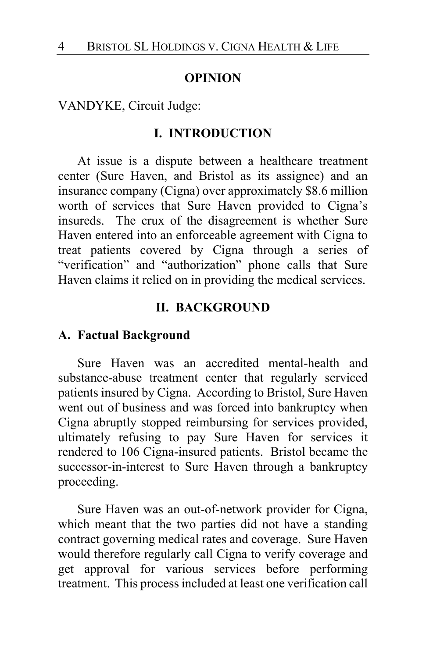#### **OPINION**

VANDYKE, Circuit Judge:

#### **I. INTRODUCTION**

At issue is a dispute between a healthcare treatment center (Sure Haven, and Bristol as its assignee) and an insurance company (Cigna) over approximately \$8.6 million worth of services that Sure Haven provided to Cigna's insureds. The crux of the disagreement is whether Sure Haven entered into an enforceable agreement with Cigna to treat patients covered by Cigna through a series of "verification" and "authorization" phone calls that Sure Haven claims it relied on in providing the medical services.

#### **II. BACKGROUND**

#### **A. Factual Background**

Sure Haven was an accredited mental-health and substance-abuse treatment center that regularly serviced patients insured by Cigna. According to Bristol, Sure Haven went out of business and was forced into bankruptcy when Cigna abruptly stopped reimbursing for services provided, ultimately refusing to pay Sure Haven for services it rendered to 106 Cigna-insured patients. Bristol became the successor-in-interest to Sure Haven through a bankruptcy proceeding.

Sure Haven was an out-of-network provider for Cigna, which meant that the two parties did not have a standing contract governing medical rates and coverage. Sure Haven would therefore regularly call Cigna to verify coverage and get approval for various services before performing treatment. This process included at least one verification call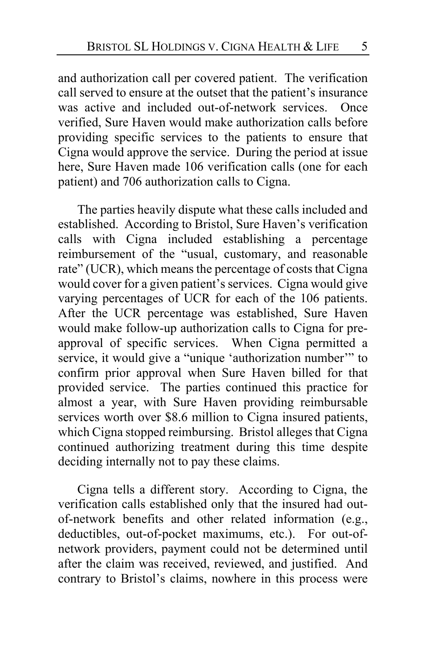and authorization call per covered patient. The verification call served to ensure at the outset that the patient's insurance was active and included out-of-network services. Once verified, Sure Haven would make authorization calls before providing specific services to the patients to ensure that Cigna would approve the service. During the period at issue here, Sure Haven made 106 verification calls (one for each patient) and 706 authorization calls to Cigna.

The parties heavily dispute what these calls included and established. According to Bristol, Sure Haven's verification calls with Cigna included establishing a percentage reimbursement of the "usual, customary, and reasonable rate" (UCR), which means the percentage of costs that Cigna would cover for a given patient's services. Cigna would give varying percentages of UCR for each of the 106 patients. After the UCR percentage was established, Sure Haven would make follow-up authorization calls to Cigna for preapproval of specific services. When Cigna permitted a service, it would give a "unique 'authorization number'" to confirm prior approval when Sure Haven billed for that provided service. The parties continued this practice for almost a year, with Sure Haven providing reimbursable services worth over \$8.6 million to Cigna insured patients, which Cigna stopped reimbursing. Bristol alleges that Cigna continued authorizing treatment during this time despite deciding internally not to pay these claims.

Cigna tells a different story. According to Cigna, the verification calls established only that the insured had outof-network benefits and other related information (e.g., deductibles, out-of-pocket maximums, etc.). For out-ofnetwork providers, payment could not be determined until after the claim was received, reviewed, and justified. And contrary to Bristol's claims, nowhere in this process were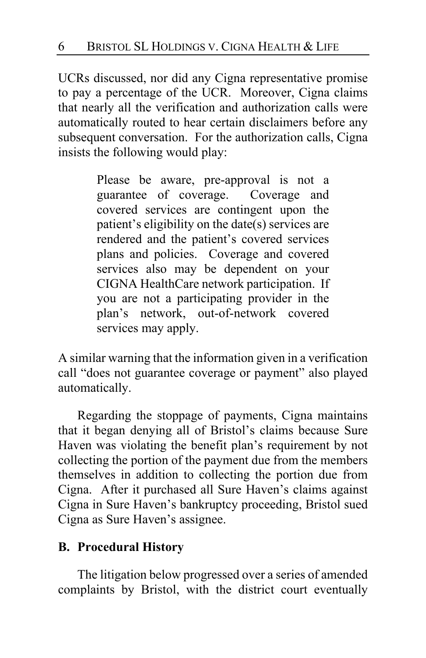UCRs discussed, nor did any Cigna representative promise to pay a percentage of the UCR. Moreover, Cigna claims that nearly all the verification and authorization calls were automatically routed to hear certain disclaimers before any subsequent conversation. For the authorization calls, Cigna insists the following would play:

> Please be aware, pre-approval is not a guarantee of coverage. Coverage and covered services are contingent upon the patient's eligibility on the date(s) services are rendered and the patient's covered services plans and policies. Coverage and covered services also may be dependent on your CIGNA HealthCare network participation. If you are not a participating provider in the plan's network, out-of-network covered services may apply.

A similar warning that the information given in a verification call "does not guarantee coverage or payment" also played automatically.

Regarding the stoppage of payments, Cigna maintains that it began denying all of Bristol's claims because Sure Haven was violating the benefit plan's requirement by not collecting the portion of the payment due from the members themselves in addition to collecting the portion due from Cigna. After it purchased all Sure Haven's claims against Cigna in Sure Haven's bankruptcy proceeding, Bristol sued Cigna as Sure Haven's assignee.

# **B. Procedural History**

The litigation below progressed over a series of amended complaints by Bristol, with the district court eventually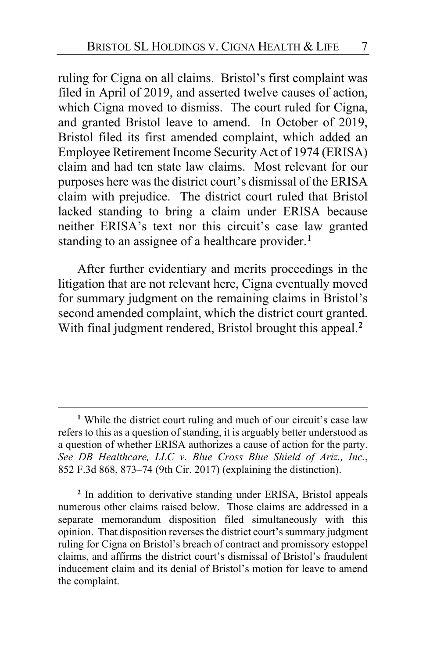ruling for Cigna on all claims. Bristol's first complaint was filed in April of 2019, and asserted twelve causes of action, which Cigna moved to dismiss. The court ruled for Cigna, and granted Bristol leave to amend. In October of 2019, Bristol filed its first amended complaint, which added an Employee Retirement Income Security Act of 1974 (ERISA) claim and had ten state law claims. Most relevant for our purposes here was the district court's dismissal of the ERISA claim with prejudice. The district court ruled that Bristol lacked standing to bring a claim under ERISA because neither ERISA's text nor this circuit's case law granted standing to an assignee of a healthcare provider.**[1](#page-6-0)**

After further evidentiary and merits proceedings in the litigation that are not relevant here, Cigna eventually moved for summary judgment on the remaining claims in Bristol's second amended complaint, which the district court granted. With final judgment rendered, Bristol brought this appeal.**[2](#page-6-1)**

<span id="page-6-1"></span>**<sup>2</sup>** In addition to derivative standing under ERISA, Bristol appeals numerous other claims raised below. Those claims are addressed in a separate memorandum disposition filed simultaneously with this opinion. That disposition reverses the district court's summary judgment ruling for Cigna on Bristol's breach of contract and promissory estoppel claims, and affirms the district court's dismissal of Bristol's fraudulent inducement claim and its denial of Bristol's motion for leave to amend the complaint.

<span id="page-6-0"></span>**<sup>1</sup>** While the district court ruling and much of our circuit's case law refers to this as a question of standing, it is arguably better understood as a question of whether ERISA authorizes a cause of action for the party. *See DB Healthcare, LLC v. Blue Cross Blue Shield of Ariz., Inc.*, 852 F.3d 868, 873–74 (9th Cir. 2017) (explaining the distinction).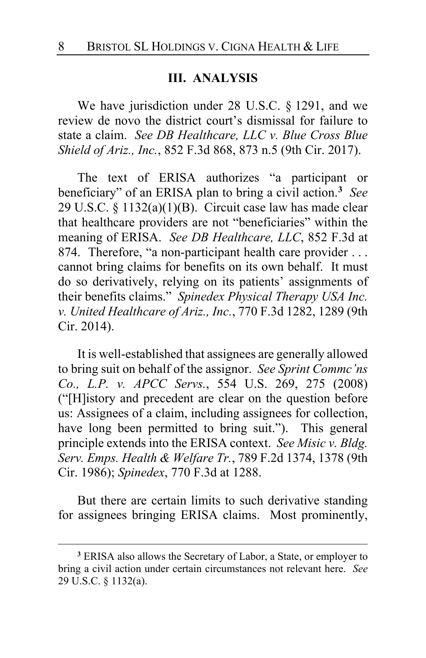#### **III. ANALYSIS**

We have jurisdiction under 28 U.S.C. § 1291, and we review de novo the district court's dismissal for failure to state a claim. *See DB Healthcare, LLC v. Blue Cross Blue Shield of Ariz., Inc.*, 852 F.3d 868, 873 n.5 (9th Cir. 2017).

The text of ERISA authorizes "a participant or beneficiary" of an ERISA plan to bring a civil action.**[3](#page-7-0)** *See* 29 U.S.C. § 1132(a)(1)(B). Circuit case law has made clear that healthcare providers are not "beneficiaries" within the meaning of ERISA. *See DB Healthcare, LLC*, 852 F.3d at 874. Therefore, "a non-participant health care provider ... cannot bring claims for benefits on its own behalf. It must do so derivatively, relying on its patients' assignments of their benefits claims." *Spinedex Physical Therapy USA Inc. v. United Healthcare of Ariz., Inc.*, 770 F.3d 1282, 1289 (9th Cir. 2014).

It is well-established that assignees are generally allowed to bring suit on behalf of the assignor. *See Sprint Commc'ns Co., L.P. v. APCC Servs.*, 554 U.S. 269, 275 (2008) ("[H]istory and precedent are clear on the question before us: Assignees of a claim, including assignees for collection, have long been permitted to bring suit."). This general principle extends into the ERISA context. *See Misic v. Bldg. Serv. Emps. Health & Welfare Tr.*, 789 F.2d 1374, 1378 (9th Cir. 1986); *Spinedex*, 770 F.3d at 1288.

But there are certain limits to such derivative standing for assignees bringing ERISA claims. Most prominently,

<span id="page-7-0"></span>**<sup>3</sup>** ERISA also allows the Secretary of Labor, a State, or employer to bring a civil action under certain circumstances not relevant here. *See* 29 U.S.C. § 1132(a).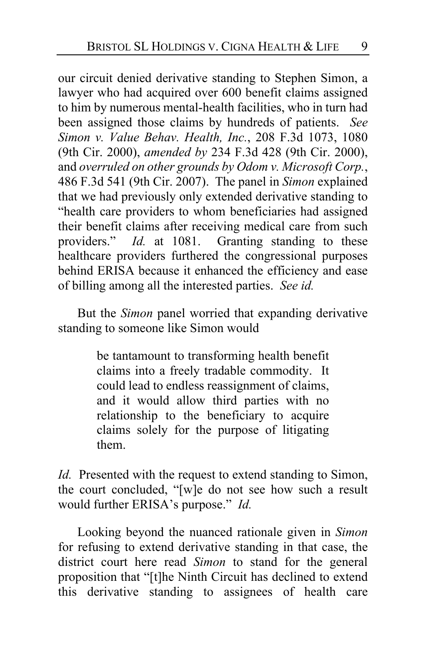our circuit denied derivative standing to Stephen Simon, a lawyer who had acquired over 600 benefit claims assigned to him by numerous mental-health facilities, who in turn had been assigned those claims by hundreds of patients. *See Simon v. Value Behav. Health, Inc.*, 208 F.3d 1073, 1080 (9th Cir. 2000), *amended by* 234 F.3d 428 (9th Cir. 2000), and *overruled on other grounds by Odom v. Microsoft Corp.*, 486 F.3d 541 (9th Cir. 2007). The panel in *Simon* explained that we had previously only extended derivative standing to "health care providers to whom beneficiaries had assigned their benefit claims after receiving medical care from such providers." *Id.* at 1081. Granting standing to these healthcare providers furthered the congressional purposes behind ERISA because it enhanced the efficiency and ease of billing among all the interested parties. *See id.*

But the *Simon* panel worried that expanding derivative standing to someone like Simon would

> be tantamount to transforming health benefit claims into a freely tradable commodity. It could lead to endless reassignment of claims, and it would allow third parties with no relationship to the beneficiary to acquire claims solely for the purpose of litigating them.

*Id.* Presented with the request to extend standing to Simon, the court concluded, "[w]e do not see how such a result would further ERISA's purpose." *Id.*

Looking beyond the nuanced rationale given in *Simon* for refusing to extend derivative standing in that case, the district court here read *Simon* to stand for the general proposition that "[t]he Ninth Circuit has declined to extend this derivative standing to assignees of health care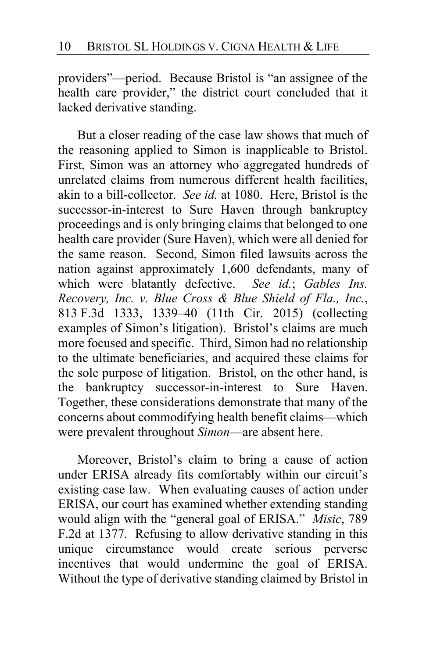providers"—period. Because Bristol is "an assignee of the health care provider," the district court concluded that it lacked derivative standing.

But a closer reading of the case law shows that much of the reasoning applied to Simon is inapplicable to Bristol. First, Simon was an attorney who aggregated hundreds of unrelated claims from numerous different health facilities, akin to a bill-collector. *See id.* at 1080. Here, Bristol is the successor-in-interest to Sure Haven through bankruptcy proceedings and is only bringing claims that belonged to one health care provider (Sure Haven), which were all denied for the same reason. Second, Simon filed lawsuits across the nation against approximately 1,600 defendants, many of which were blatantly defective. *See id.*; *Gables Ins. Recovery, Inc. v. Blue Cross & Blue Shield of Fla., Inc.*, 813 F.3d 1333, 1339–40 (11th Cir. 2015) (collecting examples of Simon's litigation). Bristol's claims are much more focused and specific. Third, Simon had no relationship to the ultimate beneficiaries, and acquired these claims for the sole purpose of litigation. Bristol, on the other hand, is the bankruptcy successor-in-interest to Sure Haven. Together, these considerations demonstrate that many of the concerns about commodifying health benefit claims—which were prevalent throughout *Simon*—are absent here.

Moreover, Bristol's claim to bring a cause of action under ERISA already fits comfortably within our circuit's existing case law. When evaluating causes of action under ERISA, our court has examined whether extending standing would align with the "general goal of ERISA." *Misic*, 789 F.2d at 1377. Refusing to allow derivative standing in this unique circumstance would create serious perverse incentives that would undermine the goal of ERISA. Without the type of derivative standing claimed by Bristol in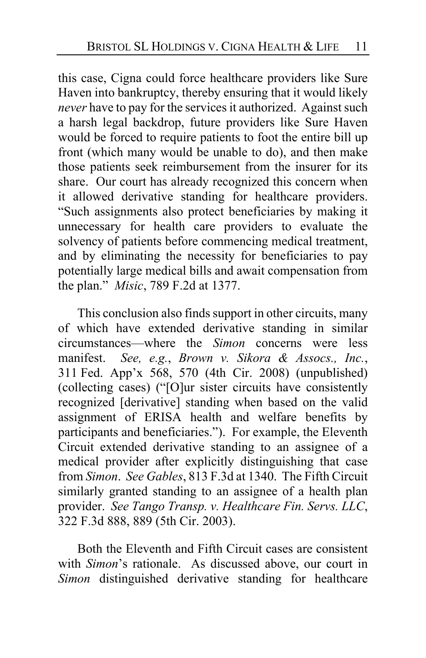this case, Cigna could force healthcare providers like Sure Haven into bankruptcy, thereby ensuring that it would likely *never* have to pay for the services it authorized. Against such a harsh legal backdrop, future providers like Sure Haven would be forced to require patients to foot the entire bill up front (which many would be unable to do), and then make those patients seek reimbursement from the insurer for its share. Our court has already recognized this concern when it allowed derivative standing for healthcare providers. "Such assignments also protect beneficiaries by making it unnecessary for health care providers to evaluate the solvency of patients before commencing medical treatment, and by eliminating the necessity for beneficiaries to pay potentially large medical bills and await compensation from the plan." *Misic*, 789 F.2d at 1377.

This conclusion also finds support in other circuits, many of which have extended derivative standing in similar circumstances—where the *Simon* concerns were less manifest. *See, e.g.*, *Brown v. Sikora & Assocs., Inc.*, 311 Fed. App'x 568, 570 (4th Cir. 2008) (unpublished) (collecting cases) ("[O]ur sister circuits have consistently recognized [derivative] standing when based on the valid assignment of ERISA health and welfare benefits by participants and beneficiaries."). For example, the Eleventh Circuit extended derivative standing to an assignee of a medical provider after explicitly distinguishing that case from *Simon*. *See Gables*, 813 F.3d at 1340. The Fifth Circuit similarly granted standing to an assignee of a health plan provider. *See Tango Transp. v. Healthcare Fin. Servs. LLC*, 322 F.3d 888, 889 (5th Cir. 2003).

Both the Eleventh and Fifth Circuit cases are consistent with *Simon*'s rationale. As discussed above, our court in *Simon* distinguished derivative standing for healthcare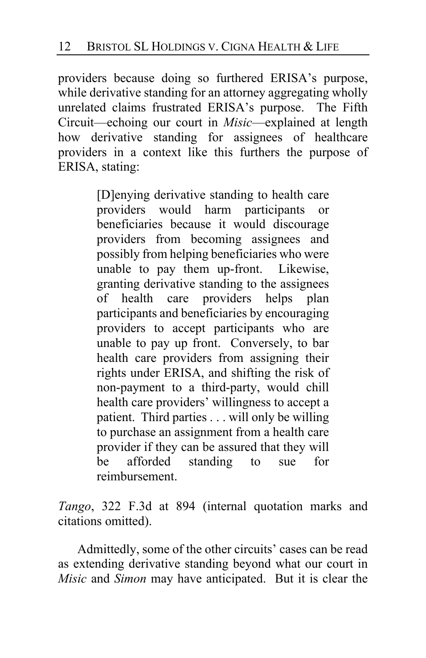providers because doing so furthered ERISA's purpose, while derivative standing for an attorney aggregating wholly unrelated claims frustrated ERISA's purpose. The Fifth Circuit—echoing our court in *Misic*—explained at length how derivative standing for assignees of healthcare providers in a context like this furthers the purpose of ERISA, stating:

> [D]enying derivative standing to health care providers would harm participants or beneficiaries because it would discourage providers from becoming assignees and possibly from helping beneficiaries who were unable to pay them up-front. Likewise, granting derivative standing to the assignees of health care providers helps plan participants and beneficiaries by encouraging providers to accept participants who are unable to pay up front. Conversely, to bar health care providers from assigning their rights under ERISA, and shifting the risk of non-payment to a third-party, would chill health care providers' willingness to accept a patient. Third parties . . . will only be willing to purchase an assignment from a health care provider if they can be assured that they will be afforded standing to sue for reimbursement.

*Tango*, 322 F.3d at 894 (internal quotation marks and citations omitted).

Admittedly, some of the other circuits' cases can be read as extending derivative standing beyond what our court in *Misic* and *Simon* may have anticipated. But it is clear the